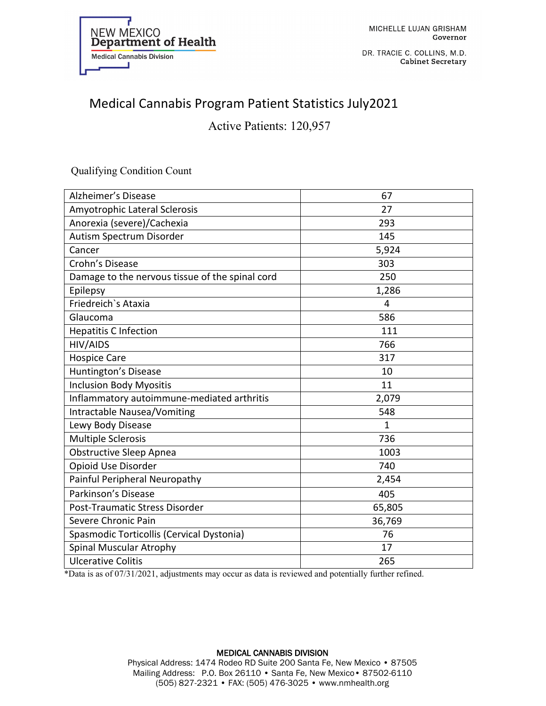

DR. TRACIE C. COLLINS, M.D. **Cabinet Secretary** 

# Medical Cannabis Program Patient Statistics July2021

Active Patients: 120,957

### Qualifying Condition Count

| <b>Alzheimer's Disease</b>                      | 67     |
|-------------------------------------------------|--------|
| Amyotrophic Lateral Sclerosis                   | 27     |
| Anorexia (severe)/Cachexia                      | 293    |
| Autism Spectrum Disorder                        | 145    |
| Cancer                                          | 5,924  |
| Crohn's Disease                                 | 303    |
| Damage to the nervous tissue of the spinal cord | 250    |
| Epilepsy                                        | 1,286  |
| Friedreich's Ataxia                             | 4      |
| Glaucoma                                        | 586    |
| <b>Hepatitis C Infection</b>                    | 111    |
| HIV/AIDS                                        | 766    |
| <b>Hospice Care</b>                             | 317    |
| Huntington's Disease                            | 10     |
| <b>Inclusion Body Myositis</b>                  | 11     |
| Inflammatory autoimmune-mediated arthritis      | 2,079  |
| <b>Intractable Nausea/Vomiting</b>              | 548    |
| Lewy Body Disease                               | 1      |
| <b>Multiple Sclerosis</b>                       | 736    |
| <b>Obstructive Sleep Apnea</b>                  | 1003   |
| Opioid Use Disorder                             | 740    |
| Painful Peripheral Neuropathy                   | 2,454  |
| Parkinson's Disease                             | 405    |
| Post-Traumatic Stress Disorder                  | 65,805 |
| Severe Chronic Pain                             | 36,769 |
| Spasmodic Torticollis (Cervical Dystonia)       | 76     |
| Spinal Muscular Atrophy                         | 17     |
| <b>Ulcerative Colitis</b>                       | 265    |

\*Data is as of 07/31/2021, adjustments may occur as data is reviewed and potentially further refined.

#### MEDICAL CANNABIS DIVISION Physical Address: 1474 Rodeo RD Suite 200 Santa Fe, New Mexico • 87505 Mailing Address: P.O. Box 26110 • Santa Fe, New Mexico • 87502-6110

(505) 827-2321 • FAX: (505) 476-3025 • www.nmhealth.org